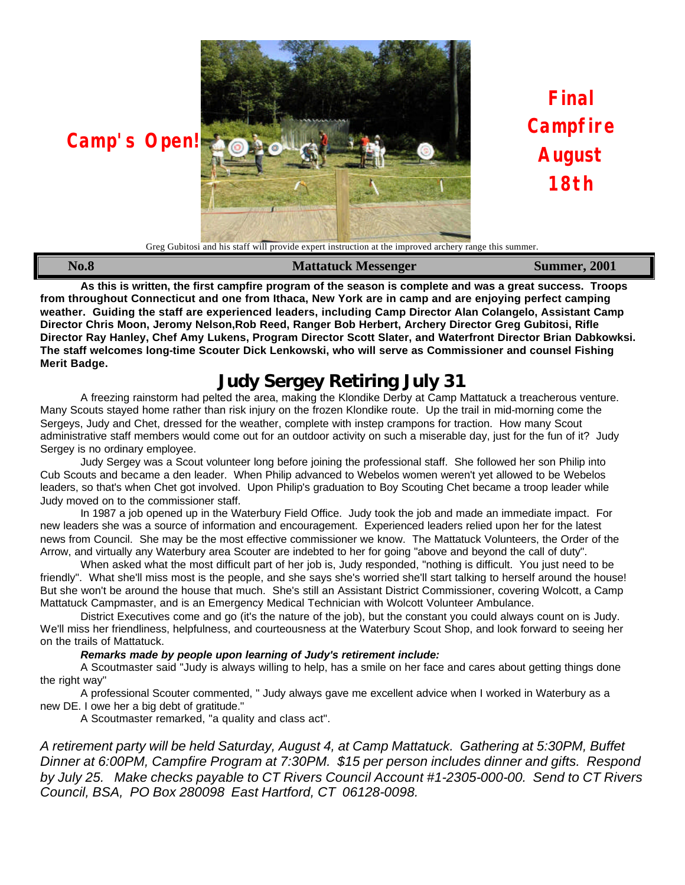

**Camp's Open!** 

**Final Campfire August 18th**

Greg Gubitosi and his staff will provide expert instruction at the improved archery range this summer.

| <b>No.8</b> | <b>Mattatuck Messenger</b> | <b>Summer, 2001</b> |  |
|-------------|----------------------------|---------------------|--|
|             |                            |                     |  |
|             |                            |                     |  |

**As this is written, the first campfire program of the season is complete and was a great success. Troops from throughout Connecticut and one from Ithaca, New York are in camp and are enjoying perfect camping weather. Guiding the staff are experienced leaders, including Camp Director Alan Colangelo, Assistant Camp Director Chris Moon, Jeromy Nelson,Rob Reed, Ranger Bob Herbert, Archery Director Greg Gubitosi, Rifle Director Ray Hanley, Chef Amy Lukens, Program Director Scott Slater, and Waterfront Director Brian Dabkowksi. The staff welcomes long-time Scouter Dick Lenkowski, who will serve as Commissioner and counsel Fishing Merit Badge.**

# **Judy Sergey Retiring July 31**

A freezing rainstorm had pelted the area, making the Klondike Derby at Camp Mattatuck a treacherous venture. Many Scouts stayed home rather than risk injury on the frozen Klondike route. Up the trail in mid-morning come the Sergeys, Judy and Chet, dressed for the weather, complete with instep crampons for traction. How many Scout administrative staff members would come out for an outdoor activity on such a miserable day, just for the fun of it? Judy Sergey is no ordinary employee.

Judy Sergey was a Scout volunteer long before joining the professional staff. She followed her son Philip into Cub Scouts and became a den leader. When Philip advanced to Webelos women weren't yet allowed to be Webelos leaders, so that's when Chet got involved. Upon Philip's graduation to Boy Scouting Chet became a troop leader while Judy moved on to the commissioner staff.

In 1987 a job opened up in the Waterbury Field Office. Judy took the job and made an immediate impact. For new leaders she was a source of information and encouragement. Experienced leaders relied upon her for the latest news from Council. She may be the most effective commissioner we know. The Mattatuck Volunteers, the Order of the Arrow, and virtually any Waterbury area Scouter are indebted to her for going "above and beyond the call of duty".

When asked what the most difficult part of her job is, Judy responded, "nothing is difficult. You just need to be friendly". What she'll miss most is the people, and she says she's worried she'll start talking to herself around the house! But she won't be around the house that much. She's still an Assistant District Commissioner, covering Wolcott, a Camp Mattatuck Campmaster, and is an Emergency Medical Technician with Wolcott Volunteer Ambulance.

District Executives come and go (it's the nature of the job), but the constant you could always count on is Judy. We'll miss her friendliness, helpfulness, and courteousness at the Waterbury Scout Shop, and look forward to seeing her on the trails of Mattatuck.

#### *Remarks made by people upon learning of Judy's retirement include:*

A Scoutmaster said "Judy is always willing to help, has a smile on her face and cares about getting things done the right way"

A professional Scouter commented, " Judy always gave me excellent advice when I worked in Waterbury as a new DE. I owe her a big debt of gratitude."

A Scoutmaster remarked, "a quality and class act".

*A retirement party will be held Saturday, August 4, at Camp Mattatuck. Gathering at 5:30PM, Buffet Dinner at 6:00PM, Campfire Program at 7:30PM. \$15 per person includes dinner and gifts. Respond by July 25. Make checks payable to CT Rivers Council Account #1-2305-000-00. Send to CT Rivers Council, BSA, PO Box 280098 East Hartford, CT 06128-0098.*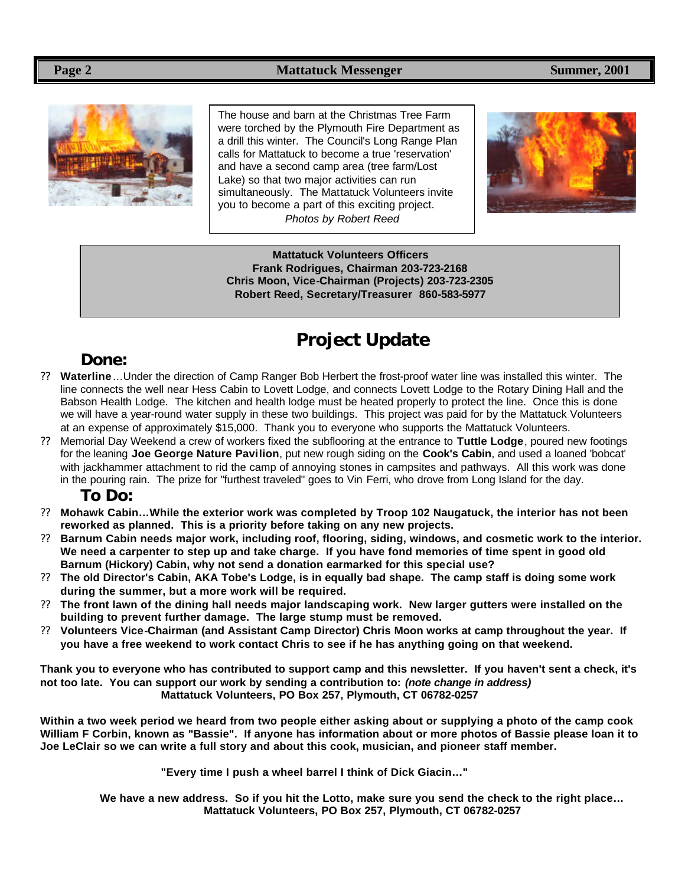

The house and barn at the Christmas Tree Farm were torched by the Plymouth Fire Department as a drill this winter. The Council's Long Range Plan calls for Mattatuck to become a true 'reservation' and have a second camp area (tree farm/Lost Lake) so that two major activities can run simultaneously. The Mattatuck Volunteers invite you to become a part of this exciting project. *Photos by Robert Reed*



**Mattatuck Volunteers Officers Frank Rodrigues, Chairman 203-723-2168 Chris Moon, Vice-Chairman (Projects) 203-723-2305 Robert Reed, Secretary/Treasurer 860-583-5977**

# **Project Update**

## **Done:**

- ?? **Waterline**…Under the direction of Camp Ranger Bob Herbert the frost-proof water line was installed this winter. The line connects the well near Hess Cabin to Lovett Lodge, and connects Lovett Lodge to the Rotary Dining Hall and the Babson Health Lodge. The kitchen and health lodge must be heated properly to protect the line. Once this is done we will have a year-round water supply in these two buildings. This project was paid for by the Mattatuck Volunteers at an expense of approximately \$15,000. Thank you to everyone who supports the Mattatuck Volunteers.
- ?? Memorial Day Weekend a crew of workers fixed the subflooring at the entrance to **Tuttle Lodge**, poured new footings for the leaning **Joe George Nature Pavilion**, put new rough siding on the **Cook's Cabin**, and used a loaned 'bobcat' with jackhammer attachment to rid the camp of annoying stones in campsites and pathways. All this work was done in the pouring rain. The prize for "furthest traveled" goes to Vin Ferri, who drove from Long Island for the day.

### **To Do:**

- ?? **Mohawk Cabin…While the exterior work was completed by Troop 102 Naugatuck, the interior has not been reworked as planned. This is a priority before taking on any new projects.**
- ?? **Barnum Cabin needs major work, including roof, flooring, siding, windows, and cosmetic work to the interior. We need a carpenter to step up and take charge. If you have fond memories of time spent in good old Barnum (Hickory) Cabin, why not send a donation earmarked for this special use?**
- ?? **The old Director's Cabin, AKA Tobe's Lodge, is in equally bad shape. The camp staff is doing some work during the summer, but a more work will be required.**
- ?? **The front lawn of the dining hall needs major landscaping work. New larger gutters were installed on the building to prevent further damage. The large stump must be removed.**
- ?? **Volunteers Vice-Chairman (and Assistant Camp Director) Chris Moon works at camp throughout the year. If you have a free weekend to work contact Chris to see if he has anything going on that weekend.**

**Thank you to everyone who has contributed to support camp and this newsletter. If you haven't sent a check, it's not too late. You can support our work by sending a contribution to:** *(note change in address)* **Mattatuck Volunteers, PO Box 257, Plymouth, CT 06782-0257**

**Within a two week period we heard from two people either asking about or supplying a photo of the camp cook William F Corbin, known as "Bassie". If anyone has information about or more photos of Bassie please loan it to Joe LeClair so we can write a full story and about this cook, musician, and pioneer staff member.**

**"Every time I push a wheel barrel I think of Dick Giacin…"**

**We have a new address. So if you hit the Lotto, make sure you send the check to the right place… Mattatuck Volunteers, PO Box 257, Plymouth, CT 06782-0257**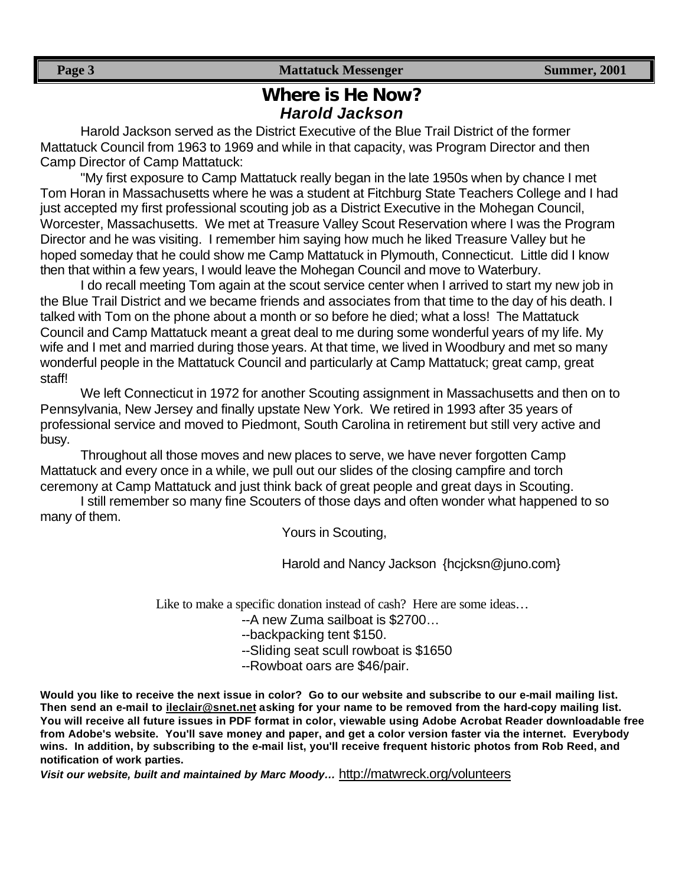## **Where is He Now?** *Harold Jackson*

Harold Jackson served as the District Executive of the Blue Trail District of the former Mattatuck Council from 1963 to 1969 and while in that capacity, was Program Director and then Camp Director of Camp Mattatuck:

"My first exposure to Camp Mattatuck really began in the late 1950s when by chance I met Tom Horan in Massachusetts where he was a student at Fitchburg State Teachers College and I had just accepted my first professional scouting job as a District Executive in the Mohegan Council, Worcester, Massachusetts. We met at Treasure Valley Scout Reservation where I was the Program Director and he was visiting. I remember him saying how much he liked Treasure Valley but he hoped someday that he could show me Camp Mattatuck in Plymouth, Connecticut. Little did I know then that within a few years, I would leave the Mohegan Council and move to Waterbury.

I do recall meeting Tom again at the scout service center when I arrived to start my new job in the Blue Trail District and we became friends and associates from that time to the day of his death. I talked with Tom on the phone about a month or so before he died; what a loss! The Mattatuck Council and Camp Mattatuck meant a great deal to me during some wonderful years of my life. My wife and I met and married during those years. At that time, we lived in Woodbury and met so many wonderful people in the Mattatuck Council and particularly at Camp Mattatuck; great camp, great staff!

We left Connecticut in 1972 for another Scouting assignment in Massachusetts and then on to Pennsylvania, New Jersey and finally upstate New York. We retired in 1993 after 35 years of professional service and moved to Piedmont, South Carolina in retirement but still very active and busy.

Throughout all those moves and new places to serve, we have never forgotten Camp Mattatuck and every once in a while, we pull out our slides of the closing campfire and torch ceremony at Camp Mattatuck and just think back of great people and great days in Scouting.

I still remember so many fine Scouters of those days and often wonder what happened to so many of them.

Yours in Scouting,

Harold and Nancy Jackson {hcjcksn@juno.com}

Like to make a specific donation instead of cash? Here are some ideas…

--A new Zuma sailboat is \$2700…

- --backpacking tent \$150.
- --Sliding seat scull rowboat is \$1650
- --Rowboat oars are \$46/pair.

**Would you like to receive the next issue in color? Go to our website and subscribe to our e-mail mailing list. Then send an e-mail to ileclair@snet.net asking for your name to be removed from the hard-copy mailing list. You will receive all future issues in PDF format in color, viewable using Adobe Acrobat Reader downloadable free from Adobe's website. You'll save money and paper, and get a color version faster via the internet. Everybody wins. In addition, by subscribing to the e-mail list, you'll receive frequent historic photos from Rob Reed, and notification of work parties.**

*Visit our website, built and maintained by Marc Moody…* http://matwreck.org/volunteers